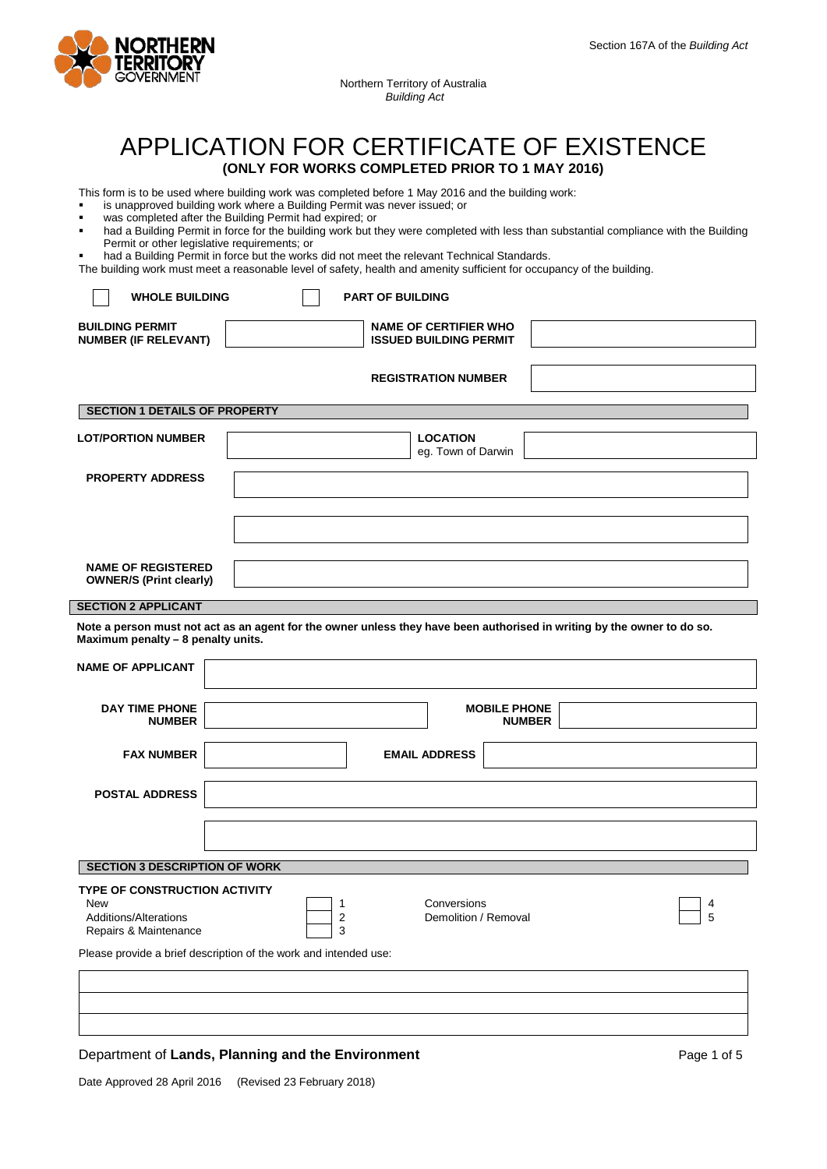

Northern Territory of Australia *Building Act*

# APPLICATION FOR CERTIFICATE OF EXISTENCE **(ONLY FOR WORKS COMPLETED PRIOR TO 1 MAY 2016)**

This form is to be used where building work was completed before 1 May 2016 and the building work:

- is unapproved building work where a Building Permit was never issued; or
- was completed after the Building Permit had expired; or
- had a Building Permit in force for the building work but they were completed with less than substantial compliance with the Building Permit or other legislative requirements; or
- had a Building Permit in force but the works did not meet the relevant Technical Standards.

The building work must meet a reasonable level of safety, health and amenity sufficient for occupancy of the building.

| <b>WHOLE BUILDING</b>                                                                                | <b>PART OF BUILDING</b>                                                                                                 |  |  |
|------------------------------------------------------------------------------------------------------|-------------------------------------------------------------------------------------------------------------------------|--|--|
| <b>BUILDING PERMIT</b><br><b>NUMBER (IF RELEVANT)</b>                                                | <b>NAME OF CERTIFIER WHO</b><br><b>ISSUED BUILDING PERMIT</b>                                                           |  |  |
|                                                                                                      | <b>REGISTRATION NUMBER</b>                                                                                              |  |  |
| <b>SECTION 1 DETAILS OF PROPERTY</b>                                                                 |                                                                                                                         |  |  |
| <b>LOT/PORTION NUMBER</b>                                                                            | <b>LOCATION</b><br>eg. Town of Darwin                                                                                   |  |  |
| <b>PROPERTY ADDRESS</b>                                                                              |                                                                                                                         |  |  |
|                                                                                                      |                                                                                                                         |  |  |
| <b>NAME OF REGISTERED</b><br><b>OWNER/S (Print clearly)</b>                                          |                                                                                                                         |  |  |
| <b>SECTION 2 APPLICANT</b>                                                                           |                                                                                                                         |  |  |
| Maximum penalty - 8 penalty units.                                                                   | Note a person must not act as an agent for the owner unless they have been authorised in writing by the owner to do so. |  |  |
| <b>NAME OF APPLICANT</b>                                                                             |                                                                                                                         |  |  |
| <b>DAY TIME PHONE</b><br><b>NUMBER</b>                                                               | <b>MOBILE PHONE</b><br><b>NUMBER</b>                                                                                    |  |  |
| <b>FAX NUMBER</b>                                                                                    | <b>EMAIL ADDRESS</b>                                                                                                    |  |  |
| <b>POSTAL ADDRESS</b>                                                                                |                                                                                                                         |  |  |
|                                                                                                      |                                                                                                                         |  |  |
| <b>SECTION 3 DESCRIPTION OF WORK</b>                                                                 |                                                                                                                         |  |  |
| <b>TYPE OF CONSTRUCTION ACTIVITY</b><br><b>New</b><br>Additions/Alterations<br>Repairs & Maintenance | г<br>Conversions<br>$\overline{4}$<br>$\overline{1}$<br>2<br>5<br>Demolition / Removal<br>3                             |  |  |
| Please provide a brief description of the work and intended use:                                     |                                                                                                                         |  |  |
|                                                                                                      |                                                                                                                         |  |  |
|                                                                                                      |                                                                                                                         |  |  |

## Department of **Lands, Planning and the Environment** Page 1 of 5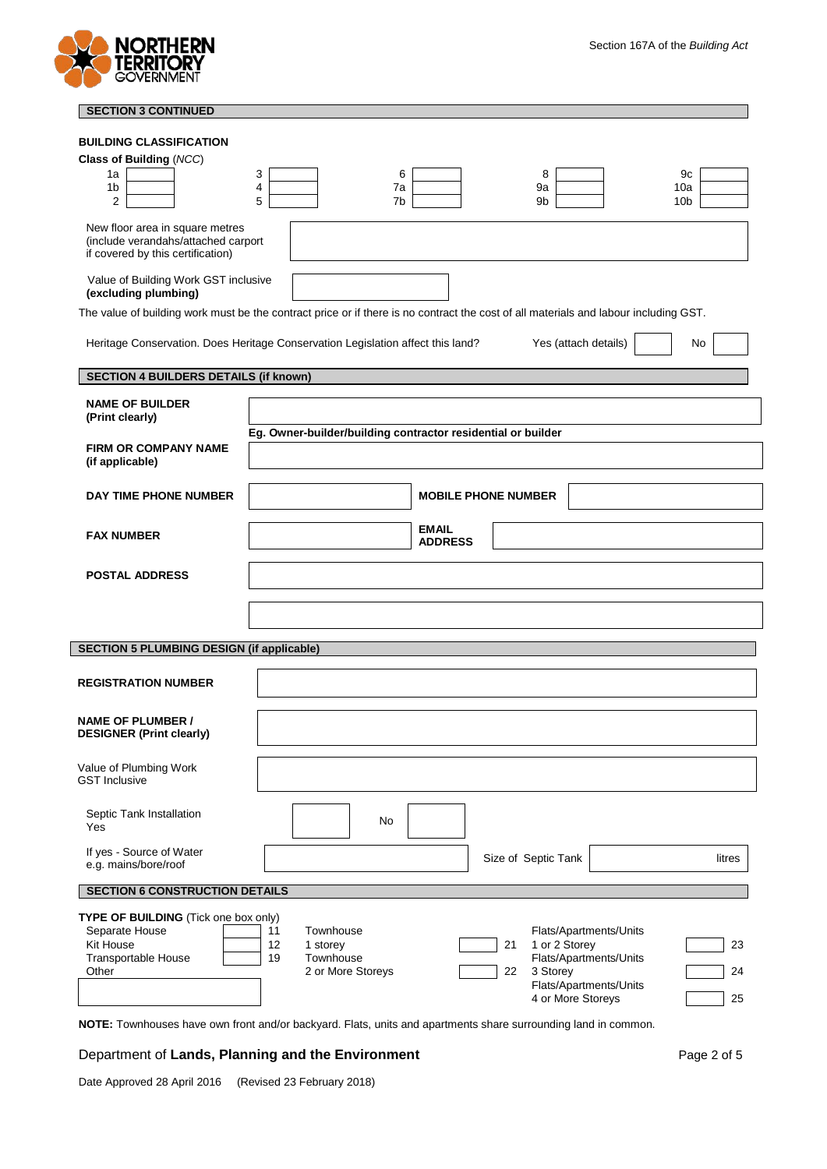

| <b>SECTION 3 CONTINUED</b>                                                                                                           |                                                                                 |                                |                                               |                 |
|--------------------------------------------------------------------------------------------------------------------------------------|---------------------------------------------------------------------------------|--------------------------------|-----------------------------------------------|-----------------|
| <b>BUILDING CLASSIFICATION</b>                                                                                                       |                                                                                 |                                |                                               |                 |
| Class of Building (NCC)                                                                                                              |                                                                                 |                                |                                               |                 |
| 1a                                                                                                                                   | 3<br>6                                                                          |                                | 8                                             | 9с              |
| 1 <sub>b</sub>                                                                                                                       | 4<br>7a                                                                         |                                | 9a                                            | 10a             |
| 2                                                                                                                                    | 5<br>7 <sub>b</sub>                                                             |                                | 9b                                            | 10 <sub>b</sub> |
| New floor area in square metres                                                                                                      |                                                                                 |                                |                                               |                 |
| (include verandahs/attached carport                                                                                                  |                                                                                 |                                |                                               |                 |
| if covered by this certification)                                                                                                    |                                                                                 |                                |                                               |                 |
| Value of Building Work GST inclusive                                                                                                 |                                                                                 |                                |                                               |                 |
| (excluding plumbing)                                                                                                                 |                                                                                 |                                |                                               |                 |
| The value of building work must be the contract price or if there is no contract the cost of all materials and labour including GST. |                                                                                 |                                |                                               |                 |
|                                                                                                                                      | Heritage Conservation. Does Heritage Conservation Legislation affect this land? |                                | Yes (attach details)                          | No              |
|                                                                                                                                      |                                                                                 |                                |                                               |                 |
| <b>SECTION 4 BUILDERS DETAILS (if known)</b>                                                                                         |                                                                                 |                                |                                               |                 |
|                                                                                                                                      |                                                                                 |                                |                                               |                 |
| <b>NAME OF BUILDER</b><br>(Print clearly)                                                                                            |                                                                                 |                                |                                               |                 |
|                                                                                                                                      | Eg. Owner-builder/building contractor residential or builder                    |                                |                                               |                 |
| <b>FIRM OR COMPANY NAME</b>                                                                                                          |                                                                                 |                                |                                               |                 |
| (if applicable)                                                                                                                      |                                                                                 |                                |                                               |                 |
|                                                                                                                                      |                                                                                 |                                |                                               |                 |
| DAY TIME PHONE NUMBER                                                                                                                |                                                                                 | <b>MOBILE PHONE NUMBER</b>     |                                               |                 |
|                                                                                                                                      |                                                                                 |                                |                                               |                 |
| <b>FAX NUMBER</b>                                                                                                                    |                                                                                 | <b>EMAIL</b><br><b>ADDRESS</b> |                                               |                 |
|                                                                                                                                      |                                                                                 |                                |                                               |                 |
| <b>POSTAL ADDRESS</b>                                                                                                                |                                                                                 |                                |                                               |                 |
|                                                                                                                                      |                                                                                 |                                |                                               |                 |
|                                                                                                                                      |                                                                                 |                                |                                               |                 |
|                                                                                                                                      |                                                                                 |                                |                                               |                 |
| <b>SECTION 5 PLUMBING DESIGN (if applicable)</b>                                                                                     |                                                                                 |                                |                                               |                 |
|                                                                                                                                      |                                                                                 |                                |                                               |                 |
| <b>REGISTRATION NUMBER</b>                                                                                                           |                                                                                 |                                |                                               |                 |
|                                                                                                                                      |                                                                                 |                                |                                               |                 |
| <b>NAME OF PLUMBER /</b>                                                                                                             |                                                                                 |                                |                                               |                 |
| <b>DESIGNER (Print clearly)</b>                                                                                                      |                                                                                 |                                |                                               |                 |
|                                                                                                                                      |                                                                                 |                                |                                               |                 |
| Value of Plumbing Work                                                                                                               |                                                                                 |                                |                                               |                 |
| <b>GST Inclusive</b>                                                                                                                 |                                                                                 |                                |                                               |                 |
| Septic Tank Installation                                                                                                             |                                                                                 |                                |                                               |                 |
| Yes                                                                                                                                  | No                                                                              |                                |                                               |                 |
|                                                                                                                                      |                                                                                 |                                |                                               |                 |
| If yes - Source of Water<br>e.g. mains/bore/roof                                                                                     |                                                                                 |                                | Size of Septic Tank                           | litres          |
|                                                                                                                                      |                                                                                 |                                |                                               |                 |
| <b>SECTION 6 CONSTRUCTION DETAILS</b>                                                                                                |                                                                                 |                                |                                               |                 |
| TYPE OF BUILDING (Tick one box only)                                                                                                 |                                                                                 |                                |                                               |                 |
| Separate House                                                                                                                       | 11<br>Townhouse                                                                 |                                | Flats/Apartments/Units                        |                 |
| Kit House<br>Transportable House                                                                                                     | 12<br>1 storey<br>19<br>Townhouse                                               |                                | 1 or 2 Storey<br>21<br>Flats/Apartments/Units | 23              |
| Other                                                                                                                                | 2 or More Storeys                                                               |                                | 3 Storey<br>22                                | 24              |
|                                                                                                                                      |                                                                                 |                                | Flats/Apartments/Units                        |                 |
|                                                                                                                                      |                                                                                 |                                | 4 or More Storeys                             | 25              |

**NOTE:** Townhouses have own front and/or backyard. Flats, units and apartments share surrounding land in common.

# Department of Lands, Planning and the Environment **Page 2 of 5** Page 2 of 5

Date Approved 28 April 2016 (Revised 23 February 2018)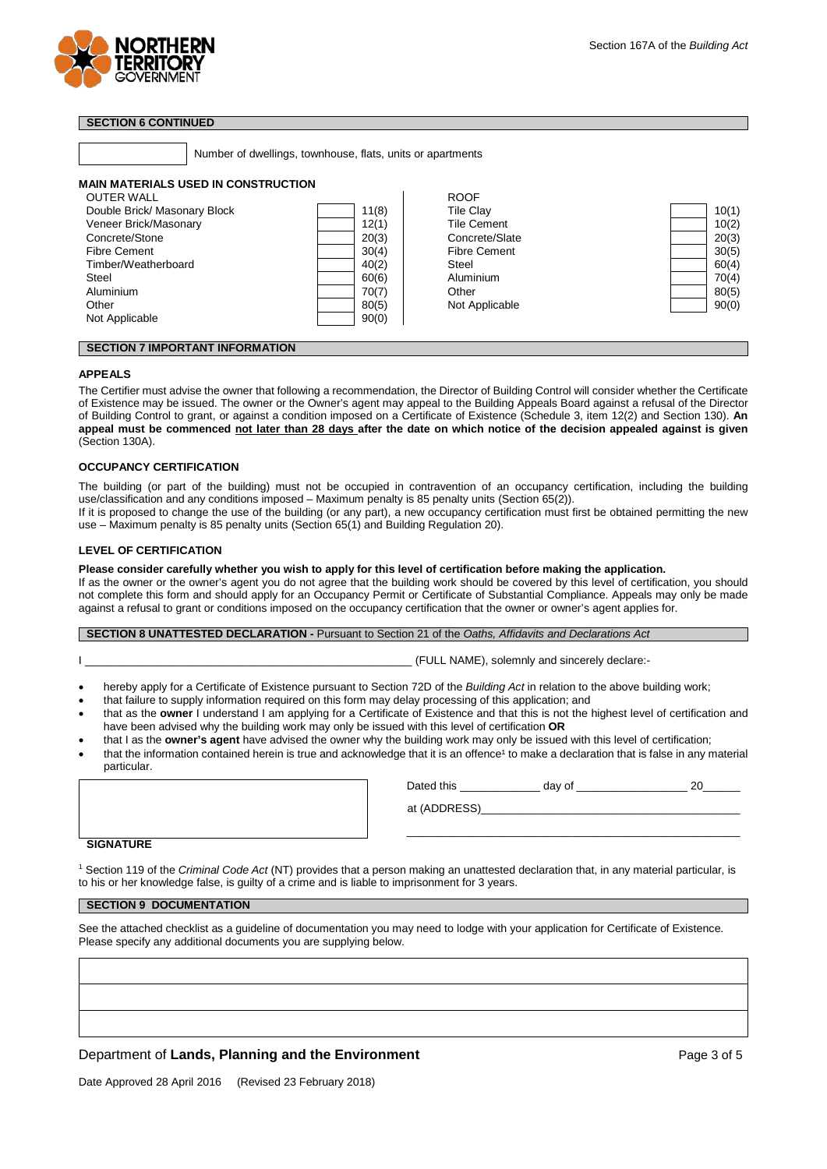

# **SECTION 6 CONTINUED**

Number of dwellings, townhouse, flats, units or apartments

## **MAIN MATERIALS USED IN CONSTRUCTION**

| <b>OUTER WALL</b>            |       | <b>ROOF</b>         |       |
|------------------------------|-------|---------------------|-------|
| Double Brick/ Masonary Block | 11(8) | <b>Tile Clay</b>    | 10(1) |
| Veneer Brick/Masonary        | 12(1) | <b>Tile Cement</b>  | 10(2) |
| Concrete/Stone               | 20(3) | Concrete/Slate      | 20(3) |
| <b>Fibre Cement</b>          | 30(4) | <b>Fibre Cement</b> | 30(5) |
| Timber/Weatherboard          | 40(2) | Steel               | 60(4) |
| Steel                        | 60(6) | Aluminium           | 70(4) |
| Aluminium                    | 70(7) | Other               | 80(5) |
| Other                        | 80(5) | Not Applicable      | 90(0) |
| Not Applicable               | 90(0) |                     |       |
|                              |       |                     |       |

## **SECTION 7 IMPORTANT INFORMATION**

## **APPEALS**

The Certifier must advise the owner that following a recommendation, the Director of Building Control will consider whether the Certificate of Existence may be issued. The owner or the Owner's agent may appeal to the Building Appeals Board against a refusal of the Director of Building Control to grant, or against a condition imposed on a Certificate of Existence (Schedule 3, item 12(2) and Section 130). **An appeal must be commenced not later than 28 days after the date on which notice of the decision appealed against is given**  (Section 130A).

## **OCCUPANCY CERTIFICATION**

The building (or part of the building) must not be occupied in contravention of an occupancy certification, including the building use/classification and any conditions imposed – Maximum penalty is 85 penalty units (Section 65(2)).

If it is proposed to change the use of the building (or any part), a new occupancy certification must first be obtained permitting the new use – Maximum penalty is 85 penalty units (Section 65(1) and Building Regulation 20).

#### **LEVEL OF CERTIFICATION**

## **Please consider carefully whether you wish to apply for this level of certification before making the application.**

If as the owner or the owner's agent you do not agree that the building work should be covered by this level of certification, you should not complete this form and should apply for an Occupancy Permit or Certificate of Substantial Compliance. Appeals may only be made against a refusal to grant or conditions imposed on the occupancy certification that the owner or owner's agent applies for.

#### **SECTION 8 UNATTESTED DECLARATION -** Pursuant to Section 21 of the *Oaths, Affidavits and Declarations Act*

I \_\_\_\_\_\_\_\_\_\_\_\_\_\_\_\_\_\_\_\_\_\_\_\_\_\_\_\_\_\_\_\_\_\_\_\_\_\_\_\_\_\_\_\_\_\_\_\_\_\_\_\_\_ (FULL NAME), solemnly and sincerely declare:-

- hereby apply for a Certificate of Existence pursuant to Section 72D of the *Building Act* in relation to the above building work;
- that failure to supply information required on this form may delay processing of this application; and
- that as the **owner** I understand I am applying for a Certificate of Existence and that this is not the highest level of certification and have been advised why the building work may only be issued with this level of certification **OR**
- that I as the **owner's agent** have advised the owner why the building work may only be issued with this level of certification;
- that the information contained herein is true and acknowledge that it is an offence<sup>1</sup> to make a declaration that is false in any material particular.

| <b>CICNIATIIDE</b> |  |  |
|--------------------|--|--|

| Dated this   | day of |  |
|--------------|--------|--|
| at (ADDRESS) |        |  |

\_\_\_\_\_\_\_\_\_\_\_\_\_\_\_\_\_\_\_\_\_\_\_\_\_\_\_\_\_\_\_\_\_\_\_\_\_\_\_\_\_\_\_\_\_\_\_\_\_\_\_\_\_\_

#### **SIGNATURE**

<sup>1</sup> Section 119 of the *Criminal Code Act* (NT) provides that a person making an unattested declaration that, in any material particular, is to his or her knowledge false, is guilty of a crime and is liable to imprisonment for 3 years.

# **SECTION 9 DOCUMENTATION**

See the attached checklist as a guideline of documentation you may need to lodge with your application for Certificate of Existence. Please specify any additional documents you are supplying below.

## Department of **Lands, Planning and the Environment** Page 3 of 5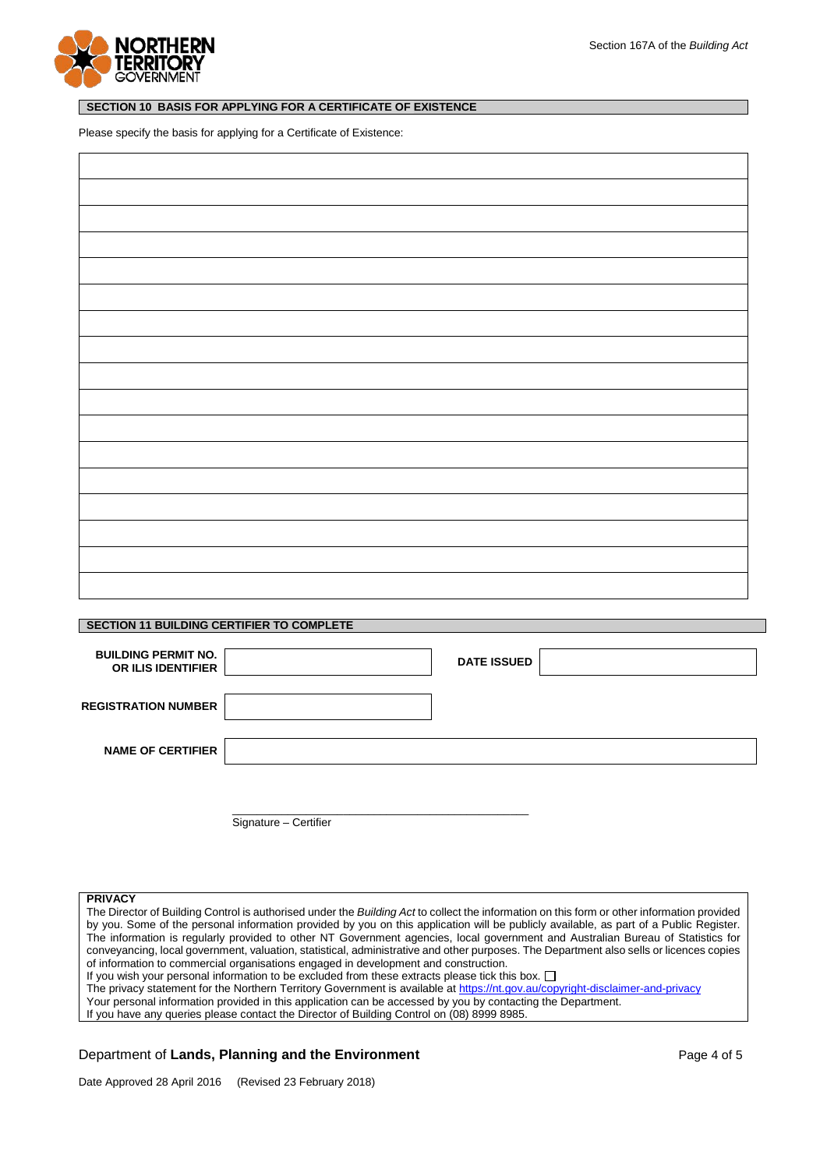

## **SECTION 10 BASIS FOR APPLYING FOR A CERTIFICATE OF EXISTENCE**

Please specify the basis for applying for a Certificate of Existence:

## **SECTION 11 BUILDING CERTIFIER TO COMPLETE**

| <b>BUILDING PERMIT NO.</b><br><b>OR ILIS IDENTIFIER</b> |                       | <b>DATE ISSUED</b> |  |
|---------------------------------------------------------|-----------------------|--------------------|--|
| <b>REGISTRATION NUMBER</b>                              |                       |                    |  |
| <b>NAME OF CERTIFIER</b>                                |                       |                    |  |
|                                                         | Signature - Certifier |                    |  |

#### **PRIVACY**

The Director of Building Control is authorised under the *Building Act* to collect the information on this form or other information provided by you. Some of the personal information provided by you on this application will be publicly available, as part of a Public Register. The information is regularly provided to other NT Government agencies, local government and Australian Bureau of Statistics for conveyancing, local government, valuation, statistical, administrative and other purposes. The Department also sells or licences copies of information to commercial organisations engaged in development and construction. If you wish your personal information to be excluded from these extracts please tick this box.  $\Box$ The privacy statement for the Northern Territory Government is available a[t https://nt.gov.au/copyright-disclaimer-and-privacy](https://nt.gov.au/copyright-disclaimer-and-privacy)

Your personal information provided in this application can be accessed by you by contacting the Department.

If you have any queries please contact the Director of Building Control on (08) 8999 8985.

## Department of **Lands, Planning and the Environment** Page 4 of 5